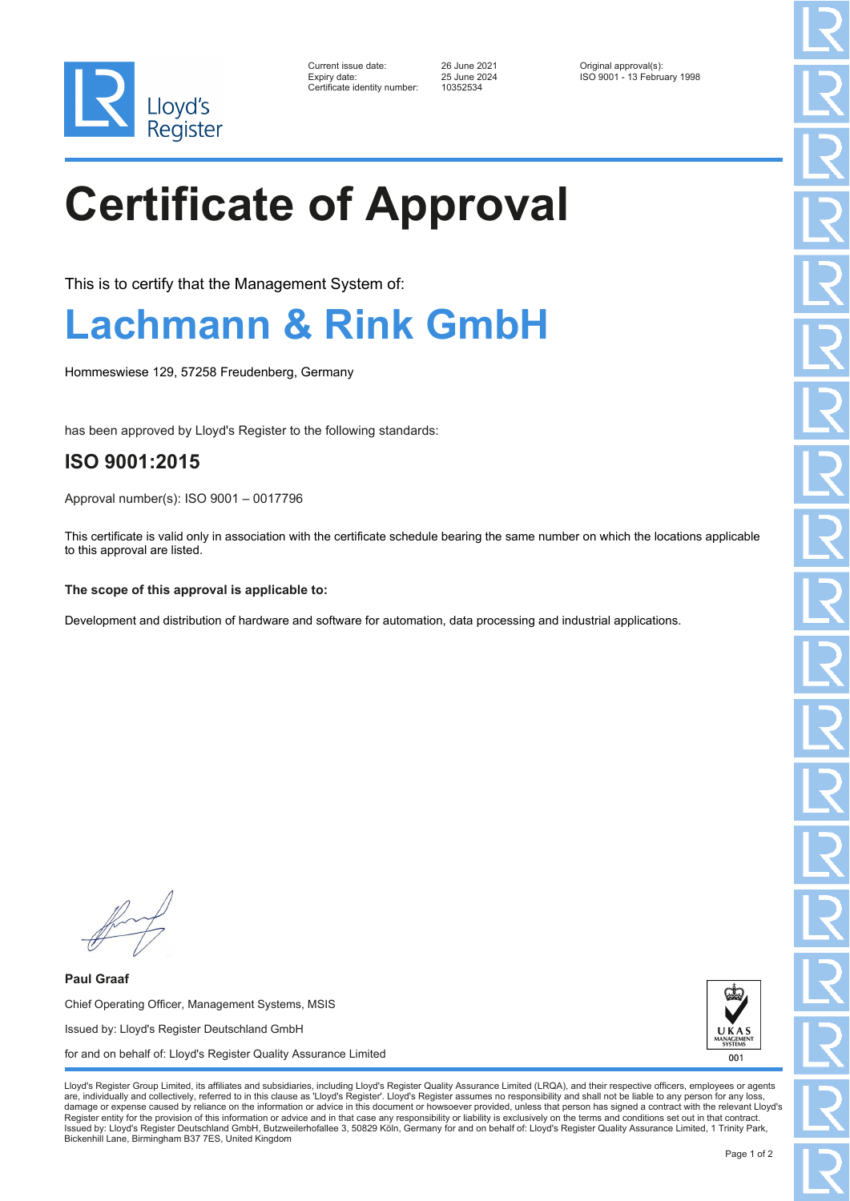

| Current issue date:         |
|-----------------------------|
| Expiry date:                |
| Certificate identitv number |

 $-2.552534$ 

Current issue date: 26 June 2021 Original approval(s): Expiry date: 25 June 2024 ISO 9001 - 13 February 1998

# **Certificate of Approval**

This is to certify that the Management System of:

### **Lachmann & Rink GmbH**

Hommeswiese 129, 57258 Freudenberg, Germany

has been approved by Lloyd's Register to the following standards:

### **ISO 9001:2015**

Approval number(s): ISO 9001 – 0017796

This certificate is valid only in association with the certificate schedule bearing the same number on which the locations applicable to this approval are listed.

#### **The scope of this approval is applicable to:**

Development and distribution of hardware and software for automation, data processing and industrial applications.

**Paul Graaf** Chief Operating Officer, Management Systems, MSIS Issued by: Lloyd's Register Deutschland GmbH for and on behalf of: Lloyd's Register Quality Assurance Limited



Lloyd's Register Group Limited, its affiliates and subsidiaries, including Lloyd's Register Quality Assurance Limited (LRQA), and their respective officers, employees or agents are, individually and collectively, referred to in this clause as 'Lloyd's Register'. Lloyd's Register assumes no responsibility and shall not be liable to any person for any los damage or expense caused by reliance on the information or advice in this document or howsoever provided, unless that person has signed a contract with the relevant Lloyd's<br>Register entity for the provision of this informa Issued by: Lloyd's Register Deutschland GmbH, Butzweilerhofallee 3, 50829 Köln, Germany for and on behalf of: Lloyd's Register Quality Assurance Limited, 1 Trinity Park, Bickenhill Lane, Birmingham B37 7ES, United Kingdom